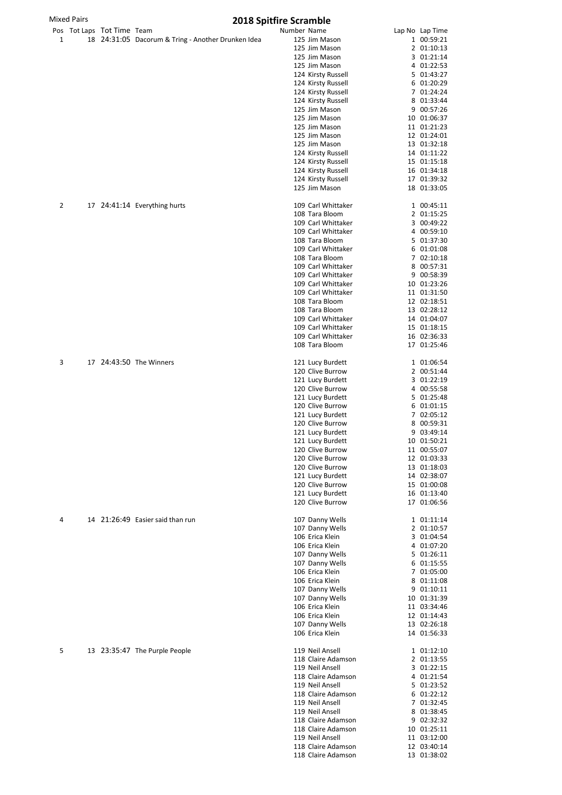|              | <b>Mixed Pairs</b> |                            | <b>2018 Spitfire Scramble</b>    |                                                    |             |                                          |  |                            |  |  |
|--------------|--------------------|----------------------------|----------------------------------|----------------------------------------------------|-------------|------------------------------------------|--|----------------------------|--|--|
|              |                    | Pos Tot Laps Tot Time Team |                                  |                                                    | Number Name |                                          |  | Lap No Lap Time            |  |  |
| $\mathbf{1}$ |                    |                            |                                  | 18 24:31:05 Dacorum & Tring - Another Drunken Idea |             | 125 Jim Mason                            |  | 1 00:59:21                 |  |  |
|              |                    |                            |                                  |                                                    |             | 125 Jim Mason                            |  | 2 01:10:13                 |  |  |
|              |                    |                            |                                  |                                                    |             | 125 Jim Mason                            |  | 3 01:21:14                 |  |  |
|              |                    |                            |                                  |                                                    |             | 125 Jim Mason                            |  | 4 01:22:53                 |  |  |
|              |                    |                            |                                  |                                                    |             | 124 Kirsty Russell                       |  | 5 01:43:27                 |  |  |
|              |                    |                            |                                  |                                                    |             | 124 Kirsty Russell                       |  | 6 01:20:29                 |  |  |
|              |                    |                            |                                  |                                                    |             | 124 Kirsty Russell                       |  | 7 01:24:24                 |  |  |
|              |                    |                            |                                  |                                                    |             | 124 Kirsty Russell<br>125 Jim Mason      |  | 8 01:33:44<br>9 00:57:26   |  |  |
|              |                    |                            |                                  |                                                    |             | 125 Jim Mason                            |  | 10 01:06:37                |  |  |
|              |                    |                            |                                  |                                                    |             | 125 Jim Mason                            |  | 11 01:21:23                |  |  |
|              |                    |                            |                                  |                                                    |             | 125 Jim Mason                            |  | 12 01:24:01                |  |  |
|              |                    |                            |                                  |                                                    |             | 125 Jim Mason                            |  | 13 01:32:18                |  |  |
|              |                    |                            |                                  |                                                    |             | 124 Kirsty Russell                       |  | 14 01:11:22                |  |  |
|              |                    |                            |                                  |                                                    |             | 124 Kirsty Russell                       |  | 15 01:15:18                |  |  |
|              |                    |                            |                                  |                                                    |             | 124 Kirsty Russell                       |  | 16 01:34:18                |  |  |
|              |                    |                            |                                  |                                                    |             | 124 Kirsty Russell                       |  | 17 01:39:32                |  |  |
|              |                    |                            |                                  |                                                    |             | 125 Jim Mason                            |  | 18 01:33:05                |  |  |
|              |                    |                            |                                  |                                                    |             |                                          |  |                            |  |  |
| 2            |                    |                            | 17 24:41:14 Everything hurts     |                                                    |             | 109 Carl Whittaker                       |  | 1 00:45:11                 |  |  |
|              |                    |                            |                                  |                                                    |             | 108 Tara Bloom                           |  | 2 01:15:25                 |  |  |
|              |                    |                            |                                  |                                                    |             | 109 Carl Whittaker                       |  | 3 00:49:22                 |  |  |
|              |                    |                            |                                  |                                                    |             | 109 Carl Whittaker                       |  | 4 00:59:10                 |  |  |
|              |                    |                            |                                  |                                                    |             | 108 Tara Bloom                           |  | 5 01:37:30                 |  |  |
|              |                    |                            |                                  |                                                    |             | 109 Carl Whittaker                       |  | 6 01:01:08                 |  |  |
|              |                    |                            |                                  |                                                    |             | 108 Tara Bloom                           |  | 7 02:10:18                 |  |  |
|              |                    |                            |                                  |                                                    |             | 109 Carl Whittaker                       |  | 8 00:57:31                 |  |  |
|              |                    |                            |                                  |                                                    |             | 109 Carl Whittaker                       |  | 9 00:58:39                 |  |  |
|              |                    |                            |                                  |                                                    |             | 109 Carl Whittaker                       |  | 10 01:23:26                |  |  |
|              |                    |                            |                                  |                                                    |             | 109 Carl Whittaker<br>108 Tara Bloom     |  | 11 01:31:50                |  |  |
|              |                    |                            |                                  |                                                    |             |                                          |  | 12 02:18:51                |  |  |
|              |                    |                            |                                  |                                                    |             | 108 Tara Bloom                           |  | 13 02:28:12                |  |  |
|              |                    |                            |                                  |                                                    |             | 109 Carl Whittaker                       |  | 14 01:04:07                |  |  |
|              |                    |                            |                                  |                                                    |             | 109 Carl Whittaker<br>109 Carl Whittaker |  | 15 01:18:15<br>16 02:36:33 |  |  |
|              |                    |                            |                                  |                                                    |             | 108 Tara Bloom                           |  | 17 01:25:46                |  |  |
|              |                    |                            |                                  |                                                    |             |                                          |  |                            |  |  |
| 3            |                    |                            | 17 24:43:50 The Winners          |                                                    |             | 121 Lucy Burdett                         |  | 1 01:06:54                 |  |  |
|              |                    |                            |                                  |                                                    |             | 120 Clive Burrow                         |  | 2 00:51:44                 |  |  |
|              |                    |                            |                                  |                                                    |             | 121 Lucy Burdett                         |  | 3 01:22:19                 |  |  |
|              |                    |                            |                                  |                                                    |             | 120 Clive Burrow                         |  | 4 00:55:58                 |  |  |
|              |                    |                            |                                  |                                                    |             | 121 Lucy Burdett                         |  | 5 01:25:48                 |  |  |
|              |                    |                            |                                  |                                                    |             | 120 Clive Burrow                         |  | 6 01:01:15                 |  |  |
|              |                    |                            |                                  |                                                    |             | 121 Lucy Burdett                         |  | 7 02:05:12                 |  |  |
|              |                    |                            |                                  |                                                    |             | 120 Clive Burrow                         |  | 8 00:59:31                 |  |  |
|              |                    |                            |                                  |                                                    |             | 121 Lucy Burdett                         |  | 9 03:49:14                 |  |  |
|              |                    |                            |                                  |                                                    |             | 121 Lucy Burdett                         |  | 10 01:50:21                |  |  |
|              |                    |                            |                                  |                                                    |             | 120 Clive Burrow                         |  | 11 00:55:07                |  |  |
|              |                    |                            |                                  |                                                    |             | 120 Clive Burrow                         |  | 12 01:03:33                |  |  |
|              |                    |                            |                                  |                                                    |             | 120 Clive Burrow                         |  | 13 01:18:03                |  |  |
|              |                    |                            |                                  |                                                    |             | 121 Lucy Burdett                         |  | 14 02:38:07                |  |  |
|              |                    |                            |                                  |                                                    |             | 120 Clive Burrow                         |  | 15 01:00:08                |  |  |
|              |                    |                            |                                  |                                                    |             | 121 Lucy Burdett                         |  | 16 01:13:40                |  |  |
|              |                    |                            |                                  |                                                    |             | 120 Clive Burrow                         |  | 17 01:06:56                |  |  |
| 4            |                    |                            | 14 21:26:49 Easier said than run |                                                    |             | 107 Danny Wells                          |  | 1 01:11:14                 |  |  |
|              |                    |                            |                                  |                                                    |             | 107 Danny Wells                          |  | 2 01:10:57                 |  |  |
|              |                    |                            |                                  |                                                    |             | 106 Erica Klein                          |  | 3 01:04:54                 |  |  |
|              |                    |                            |                                  |                                                    |             | 106 Erica Klein                          |  | 4 01:07:20                 |  |  |
|              |                    |                            |                                  |                                                    |             | 107 Danny Wells                          |  | 5 01:26:11                 |  |  |
|              |                    |                            |                                  |                                                    |             | 107 Danny Wells                          |  | 6 01:15:55                 |  |  |
|              |                    |                            |                                  |                                                    |             | 106 Erica Klein                          |  | 7 01:05:00                 |  |  |
|              |                    |                            |                                  |                                                    |             | 106 Erica Klein                          |  | 8 01:11:08                 |  |  |
|              |                    |                            |                                  |                                                    |             | 107 Danny Wells                          |  | 9 01:10:11                 |  |  |
|              |                    |                            |                                  |                                                    |             | 107 Danny Wells                          |  | 10 01:31:39                |  |  |
|              |                    |                            |                                  |                                                    |             | 106 Erica Klein                          |  | 11 03:34:46                |  |  |
|              |                    |                            |                                  |                                                    |             | 106 Erica Klein                          |  | 12 01:14:43                |  |  |
|              |                    |                            |                                  |                                                    |             | 107 Danny Wells                          |  | 13 02:26:18                |  |  |
|              |                    |                            |                                  |                                                    |             | 106 Erica Klein                          |  | 14 01:56:33                |  |  |
| 5            |                    |                            | 13 23:35:47 The Purple People    |                                                    |             | 119 Neil Ansell                          |  | 1 01:12:10                 |  |  |
|              |                    |                            |                                  |                                                    |             | 118 Claire Adamson                       |  | 2 01:13:55                 |  |  |
|              |                    |                            |                                  |                                                    |             | 119 Neil Ansell                          |  | 3 01:22:15                 |  |  |
|              |                    |                            |                                  |                                                    |             | 118 Claire Adamson                       |  | 4 01:21:54                 |  |  |
|              |                    |                            |                                  |                                                    |             | 119 Neil Ansell                          |  | 5 01:23:52                 |  |  |
|              |                    |                            |                                  |                                                    |             | 118 Claire Adamson                       |  | 6 01:22:12                 |  |  |
|              |                    |                            |                                  |                                                    |             | 119 Neil Ansell                          |  | 7 01:32:45                 |  |  |
|              |                    |                            |                                  |                                                    |             | 119 Neil Ansell                          |  | 8 01:38:45                 |  |  |
|              |                    |                            |                                  |                                                    |             | 118 Claire Adamson                       |  | 9 02:32:32                 |  |  |
|              |                    |                            |                                  |                                                    |             | 118 Claire Adamson                       |  | 10 01:25:11                |  |  |
|              |                    |                            |                                  |                                                    |             | 119 Neil Ansell                          |  | 11 03:12:00                |  |  |

118 Claire Adamson 12 03:40:14<br>118 Claire Adamson 13 01:38:02

118 Claire Adamson